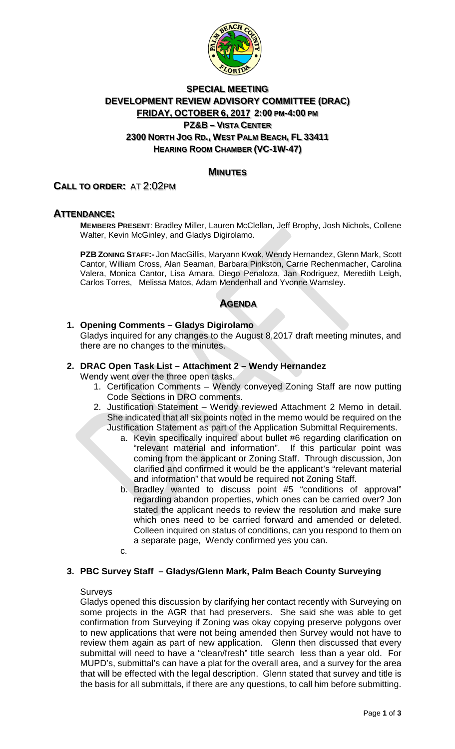

# **SPECIAL MEETING DEVELOPMENT REVIEW ADVISORY COMMITTEE (DRAC) FRIDAY, OCTOBER 6, 2017 2:00 PM-4:00 PM PZ&B – VISTA CENTER 2300 NORTH JOG RD., WEST PALM BEACH, FL 33411 HEARING ROOM CHAMBER (VC-1W-47)**

# **MINUTES**

# **CALL TO ORDER:** AT 2:02PM

# **ATTENDANCE:**

**MEMBERS PRESENT**: Bradley Miller, Lauren McClellan, Jeff Brophy, Josh Nichols, Collene Walter, Kevin McGinley, and Gladys Digirolamo.

**PZB ZONING STAFF:-** Jon MacGillis, Maryann Kwok, Wendy Hernandez, Glenn Mark, Scott Cantor, William Cross, Alan Seaman, Barbara Pinkston, Carrie Rechenmacher, Carolina Valera, Monica Cantor, Lisa Amara, Diego Penaloza, Jan Rodriguez, Meredith Leigh, Carlos Torres, Melissa Matos, Adam Mendenhall and Yvonne Wamsley.

# **AGENDA**

### **1. Opening Comments – Gladys Digirolamo**

Gladys inquired for any changes to the August 8,2017 draft meeting minutes, and there are no changes to the minutes.

#### **2. DRAC Open Task List – Attachment 2 – Wendy Hernandez**

Wendy went over the three open tasks.

- 1. Certification Comments Wendy conveyed Zoning Staff are now putting Code Sections in DRO comments.
- 2. Justification Statement Wendy reviewed Attachment 2 Memo in detail. She indicated that all six points noted in the memo would be required on the Justification Statement as part of the Application Submittal Requirements.
	- a. Kevin specifically inquired about bullet #6 regarding clarification on "relevant material and information". If this particular point was coming from the applicant or Zoning Staff. Through discussion, Jon clarified and confirmed it would be the applicant's "relevant material and information" that would be required not Zoning Staff.
	- b. Bradley wanted to discuss point #5 "conditions of approval" regarding abandon properties, which ones can be carried over? Jon stated the applicant needs to review the resolution and make sure which ones need to be carried forward and amended or deleted. Colleen inquired on status of conditions, can you respond to them on a separate page, Wendy confirmed yes you can.
	- c.

#### **3. PBC Survey Staff – Gladys/Glenn Mark, Palm Beach County Surveying**

#### **Surveys**

Gladys opened this discussion by clarifying her contact recently with Surveying on some projects in the AGR that had preservers. She said she was able to get confirmation from Surveying if Zoning was okay copying preserve polygons over to new applications that were not being amended then Survey would not have to review them again as part of new application. Glenn then discussed that every submittal will need to have a "clean/fresh" title search less than a year old. For MUPD's, submittal's can have a plat for the overall area, and a survey for the area that will be effected with the legal description. Glenn stated that survey and title is the basis for all submittals, if there are any questions, to call him before submitting.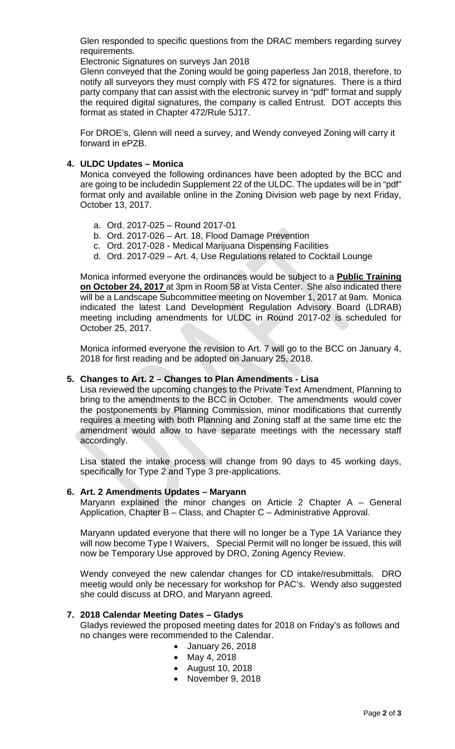Glen responded to specific questions from the DRAC members regarding survey requirements.

Electronic Signatures on surveys Jan 2018

Glenn conveyed that the Zoning would be going paperless Jan 2018, therefore, to notify all surveyors they must comply with FS 472 for signatures. There is a third party company that can assist with the electronic survey in "pdf" format and supply the required digital signatures, the company is called Entrust. DOT accepts this format as stated in Chapter 472/Rule 5J17.

For DROE's, Glenn will need a survey, and Wendy conveyed Zoning will carry it forward in ePZB.

### **4. ULDC Updates – Monica**

Monica conveyed the following ordinances have been adopted by the BCC and are going to be includedin Supplement 22 of the ULDC. The updates will be in "pdf" format only and available online in the Zoning Division web page by next Friday, October 13, 2017.

- a. Ord. 2017-025 Round 2017-01
- b. Ord. 2017-026 Art. 18, Flood Damage Prevention
- c. Ord. 2017-028 Medical Marijuana Dispensing Facilities
- d. Ord. 2017-029 Art. 4, Use Regulations related to Cocktail Lounge

Monica informed everyone the ordinances would be subject to a **Public Training on October 24, 2017** at 3pm in Room 58 at Vista Center. She also indicated there will be a Landscape Subcommittee meeting on November 1, 2017 at 9am. Monica indicated the latest Land Development Regulation Advisory Board (LDRAB) meeting including amendments for ULDC in Round 2017-02 is scheduled for October 25, 2017.

Monica informed everyone the revision to Art. 7 will go to the BCC on January 4, 2018 for first reading and be adopted on January 25, 2018.

#### **5. Changes to Art. 2 – Changes to Plan Amendments - Lisa**

Lisa reviewed the upcoming changes to the Private Text Amendment, Planning to bring to the amendments to the BCC in October. The amendments would cover the postponements by Planning Commission, minor modifications that currently requires a meeting with both Planning and Zoning staff at the same time etc the amendment would allow to have separate meetings with the necessary staff accordingly.

Lisa stated the intake process will change from 90 days to 45 working days, specifically for Type 2 and Type 3 pre-applications.

#### **6. Art. 2 Amendments Updates – Maryann**

Maryann explained the minor changes on Article 2 Chapter A – General Application, Chapter B – Class, and Chapter C – Administrative Approval.

Maryann updated everyone that there will no longer be a Type 1A Variance they will now become Type I Waivers, Special Permit will no longer be issued, this will now be Temporary Use approved by DRO, Zoning Agency Review.

Wendy conveyed the new calendar changes for CD intake/resubmittals. DRO meetig would only be necessary for workshop for PAC's. Wendy also suggested she could discuss at DRO, and Maryann agreed.

#### **7. 2018 Calendar Meeting Dates – Gladys**

Gladys reviewed the proposed meeting dates for 2018 on Friday's as follows and no changes were recommended to the Calendar.

- January 26, 2018
- May 4, 2018
- August 10, 2018
- November 9, 2018